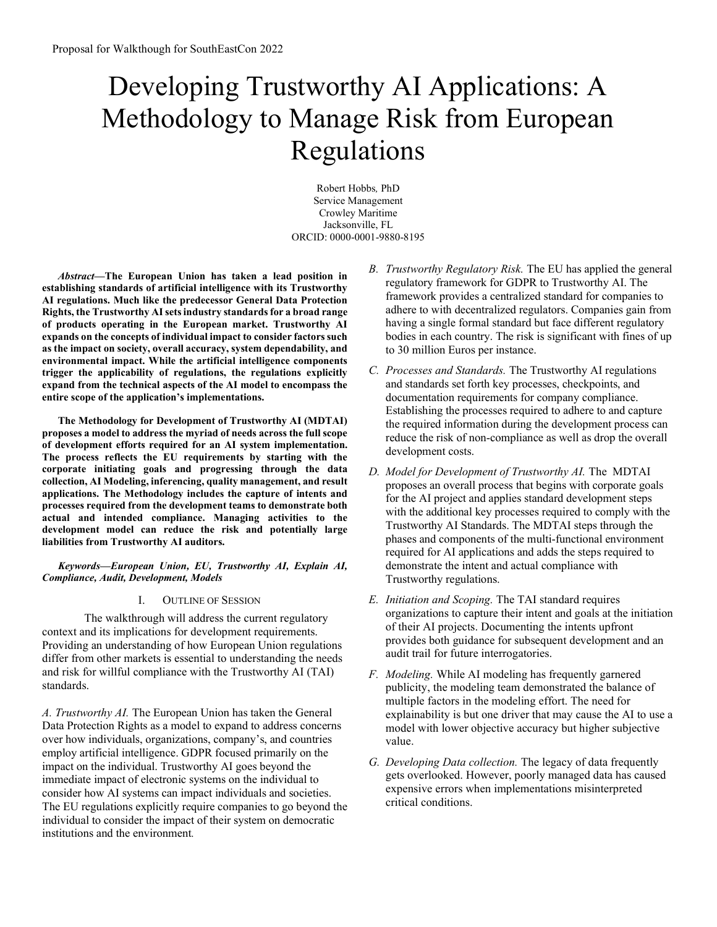# Developing Trustworthy AI Applications: A Methodology to Manage Risk from European Regulations

Robert Hobbs, PhD Service Management Crowley Maritime Jacksonville, FL ORCID: 0000-0001-9880-8195

Abstract—The European Union has taken a lead position in establishing standards of artificial intelligence with its Trustworthy AI regulations. Much like the predecessor General Data Protection Rights, the Trustworthy AI sets industry standards for a broad range of products operating in the European market. Trustworthy AI expands on the concepts of individual impact to consider factors such as the impact on society, overall accuracy, system dependability, and environmental impact. While the artificial intelligence components trigger the applicability of regulations, the regulations explicitly expand from the technical aspects of the AI model to encompass the entire scope of the application's implementations.

The Methodology for Development of Trustworthy AI (MDTAI) proposes a model to address the myriad of needs across the full scope of development efforts required for an AI system implementation. The process reflects the EU requirements by starting with the corporate initiating goals and progressing through the data collection, AI Modeling, inferencing, quality management, and result applications. The Methodology includes the capture of intents and processes required from the development teams to demonstrate both actual and intended compliance. Managing activities to the development model can reduce the risk and potentially large liabilities from Trustworthy AI auditors.

Keywords—European Union, EU, Trustworthy AI, Explain AI, Compliance, Audit, Development, Models

I. OUTLINE OF SESSION

The walkthrough will address the current regulatory context and its implications for development requirements. Providing an understanding of how European Union regulations differ from other markets is essential to understanding the needs and risk for willful compliance with the Trustworthy AI (TAI) standards.

A. Trustworthy AI. The European Union has taken the General Data Protection Rights as a model to expand to address concerns over how individuals, organizations, company's, and countries employ artificial intelligence. GDPR focused primarily on the impact on the individual. Trustworthy AI goes beyond the immediate impact of electronic systems on the individual to consider how AI systems can impact individuals and societies. The EU regulations explicitly require companies to go beyond the individual to consider the impact of their system on democratic institutions and the environment.

- B. Trustworthy Regulatory Risk. The EU has applied the general regulatory framework for GDPR to Trustworthy AI. The framework provides a centralized standard for companies to adhere to with decentralized regulators. Companies gain from having a single formal standard but face different regulatory bodies in each country. The risk is significant with fines of up to 30 million Euros per instance.
- C. Processes and Standards. The Trustworthy AI regulations and standards set forth key processes, checkpoints, and documentation requirements for company compliance. Establishing the processes required to adhere to and capture the required information during the development process can reduce the risk of non-compliance as well as drop the overall development costs.
- D. Model for Development of Trustworthy AI. The MDTAI proposes an overall process that begins with corporate goals for the AI project and applies standard development steps with the additional key processes required to comply with the Trustworthy AI Standards. The MDTAI steps through the phases and components of the multi-functional environment required for AI applications and adds the steps required to demonstrate the intent and actual compliance with Trustworthy regulations.
- E. Initiation and Scoping. The TAI standard requires organizations to capture their intent and goals at the initiation of their AI projects. Documenting the intents upfront provides both guidance for subsequent development and an audit trail for future interrogatories.
- F. Modeling. While AI modeling has frequently garnered publicity, the modeling team demonstrated the balance of multiple factors in the modeling effort. The need for explainability is but one driver that may cause the AI to use a model with lower objective accuracy but higher subjective value.
- G. Developing Data collection. The legacy of data frequently gets overlooked. However, poorly managed data has caused expensive errors when implementations misinterpreted critical conditions.